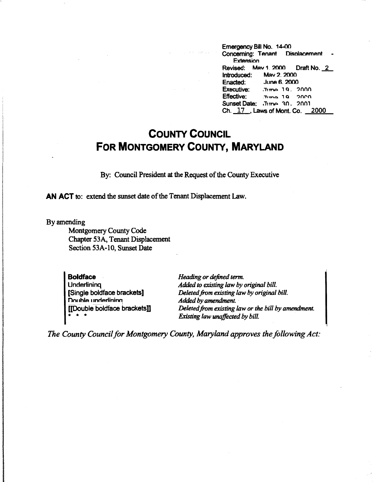Emergency Bill No. 14-00<br>Concerning: Tenant Displacement Concerning: Tenant **Extension** Revised: Mav 1 2000 Draft No. 2<br>Introduced: Mav 2 2000 Mav 2. 2000 Enacted: June 6\_ 2000 Executive: .Tume 19, 2000 Effective: Time 10 2000 Sunset Date: June 30, 2001 Ch. 17 . Laws of Mont. Co. 2000

## **COUNTY COUNCIL FOR MONTGOMERY COUNTY, MARYLAND**

By: Council President at the Request of the County Executive

**AN ACT** to: extend the sunset date of the Tenant Displacement Law.

By amending

Montgomery County Code Chapter 53A, Tenant Displacement Section 53A-10, Sunset Date

**Boldface Underlining** [Single boldface brackets] **Double underlining** [[Double boldface bracketsD  $* * *$ 

*Heading or defined term. Added to existing law* by *original bill. Deleted from existing law* by *original bill. Added* by *amendment.* · *Deleted from existing law or the bill by amendment. Existing law unaffected by bill.* 

*The County Council for Montgomery County, Maryland approves the following Act:*